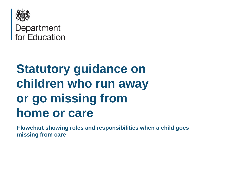

## Department for Education

## **Statutory guidance on children who run away or go missing from home or care**

**Flowchart showing roles and responsibilities when a child goes missing from care**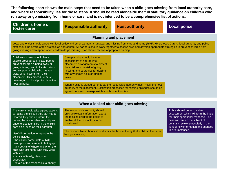**The following chart shows the main steps that need to be taken when a child goes missing from local authority care, and where responsibility lies for those steps. It should be read alongside the full statutory guidance on children who run away or go missing from home or care, and is not intended to be a comprehensive list of actions.**

## **Planning and placement** Local authorities should agree with local police and other partners a runaway and missing from care and home (RMFCH) protocol. Carers, local authority and police staff should be aware of the protocol as appropriate. All partners should work together to assess risks and develop appropriate strategies to prevent children from going missing and respond when children do go missing. Staff should receive appropriate training. Care planning should include assessment of appropriate placement arrangements to protect the child from the risk of going missing, and strategies for dealing with any known risks of running away. When a child is placed out of area, the responsible authority must notify the host authority of the placement. Notification processes for missing episodes should be agreed between the responsible and host authorities. Children's homes should have explicit procedures in place both to prevent children running away or going missing, and to locate, return and support a child who has run away or is missing from their placement. This procedure must have regard to local protocols of the host authority. **When a looked after child goes missing** The carer should take agreed actions to locate the child. If they can not be Police should perform a riskassessment which will form the basis The responsible authority should provide relevant information about **Responsible authority and authority of the Local police in the Exercise of the Children's home or and Responsible authority and <b>Host authority Children foster carer**

located, they should inform the police, the responsible authority and anyone else identified in the child's care plan (such as their parents).

Useful information to report to the police include:

- the child's' name, date of birth,
- description and a recent photograph - any details of where and when the child was last soon, who they were with, etc
- details of family, friends and associates
- details of the responsible authority.

the missing child to the police to enable all the risk factors to be considered.

for their operational response. The case will remain the subject of constant review, particularly in the light of new information and changes in circumstances.

The responsible authority should notify the host authority that a child in their area has gone missing.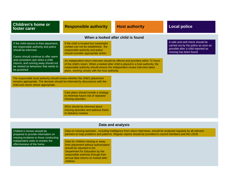| <b>Children's home or</b><br>foster carer                                                                                                                                                                                                                                           | <b>Responsible authority</b>                                                                                                                                                                                                                                                                                                                                                     | <b>Host authority</b>                                                                                                                                                                                                               | <b>Local police</b>                                                                                                                      |
|-------------------------------------------------------------------------------------------------------------------------------------------------------------------------------------------------------------------------------------------------------------------------------------|----------------------------------------------------------------------------------------------------------------------------------------------------------------------------------------------------------------------------------------------------------------------------------------------------------------------------------------------------------------------------------|-------------------------------------------------------------------------------------------------------------------------------------------------------------------------------------------------------------------------------------|------------------------------------------------------------------------------------------------------------------------------------------|
| When a looked after child is found                                                                                                                                                                                                                                                  |                                                                                                                                                                                                                                                                                                                                                                                  |                                                                                                                                                                                                                                     |                                                                                                                                          |
| If the child returns to their placement,<br>the responsible authority and police<br>should be informed.<br>Carers should continue to offer warm<br>and consistent care when a child<br>returns, and running away should not<br>be viewed as behaviour that needs to<br>be punished. | If the child is located but meaningful<br>contact can not be established, the<br>responsible authority and police<br>should consider appropriate action.<br>of the child's return. When a looked after child is placed in a host authority, the<br>responsible authority should ensure the independent review interview takes<br>place, working closely with the host authority. | An independent return interview should be offered and provided within 72 hours                                                                                                                                                      | A safe and well check should be<br>carried out by the police as soon as<br>possible after a child reported as<br>missing has been found. |
| The responsible local authority should review whether the child's placement<br>remains appropriate. The decision should be informed by discussions with the<br>child and carers where appropriate.                                                                                  | Care plans should include a strategy<br>to minimise future risk of repeated<br>missing episodes.<br><b>IROs should be informed about</b><br>missing episodes and address these<br>in statutory reviews.                                                                                                                                                                          |                                                                                                                                                                                                                                     |                                                                                                                                          |
|                                                                                                                                                                                                                                                                                     |                                                                                                                                                                                                                                                                                                                                                                                  |                                                                                                                                                                                                                                     |                                                                                                                                          |
| Data and analysis                                                                                                                                                                                                                                                                   |                                                                                                                                                                                                                                                                                                                                                                                  |                                                                                                                                                                                                                                     |                                                                                                                                          |
| Children's homes should be<br>prepared to provide information on<br>missing incidents to those conducting<br>independent visits to monitor the<br>effectiveness of the home.                                                                                                        | Data for children missing or away<br>from placement without authorisation<br>should be reported to the<br>Department for Education by the<br>responsible authority through their                                                                                                                                                                                                 | Data on missing episodes, including intelligence from return interviews, should be analysed regularly by all relevant<br>partners to map problems and patterns. Regular reports should be provided to council members and the LSCB. |                                                                                                                                          |

annual data returns on looked after

children.